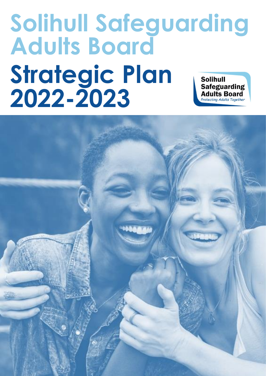## **Solihull Safeguarding Adults Board Strategic Plan Solihull Safeguarding 2022-2023Adults Board Protecting Adults Together**

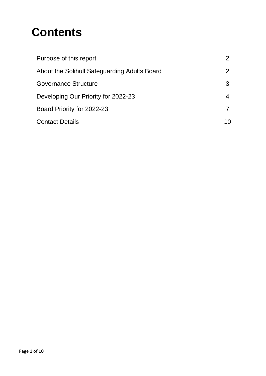# **Contents**

| Purpose of this report                       |    |
|----------------------------------------------|----|
| About the Solihull Safeguarding Adults Board |    |
| <b>Governance Structure</b>                  | 3  |
| Developing Our Priority for 2022-23          |    |
| Board Priority for 2022-23                   |    |
| <b>Contact Details</b>                       | 10 |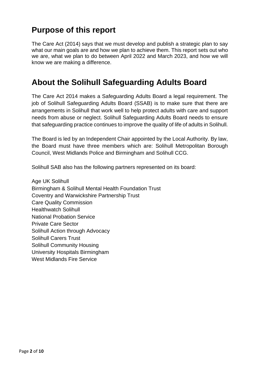### <span id="page-2-0"></span>**Purpose of this report**

The Care Act (2014) says that we must develop and publish a strategic plan to say what our main goals are and how we plan to achieve them. This report sets out who we are, what we plan to do between April 2022 and March 2023, and how we will know we are making a difference.

### <span id="page-2-1"></span>**About the Solihull Safeguarding Adults Board**

The Care Act 2014 makes a Safeguarding Adults Board a legal requirement. The job of Solihull Safeguarding Adults Board (SSAB) is to make sure that there are arrangements in Solihull that work well to help protect adults with care and support needs from abuse or neglect. Solihull Safeguarding Adults Board needs to ensure that safeguarding practice continues to improve the quality of life of adults in Solihull.

The Board is led by an Independent Chair appointed by the Local Authority. By law, the Board must have three members which are: Solihull Metropolitan Borough Council, West Midlands Police and Birmingham and Solihull CCG.

Solihull SAB also has the following partners represented on its board:

Age UK Solihull Birmingham & Solihull Mental Health Foundation Trust Coventry and Warwickshire Partnership Trust Care Quality Commission Healthwatch Solihull National Probation Service Private Care Sector Solihull Action through Advocacy Solihull Carers Trust Solihull Community Housing University Hospitals Birmingham West Midlands Fire Service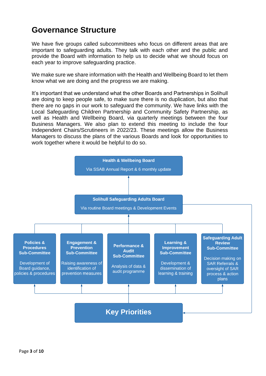### <span id="page-3-0"></span>**Governance Structure**

We have five groups called subcommittees who focus on different areas that are important to safeguarding adults. They talk with each other and the public and provide the Board with information to help us to decide what we should focus on each year to improve safeguarding practice.

We make sure we share information with the Health and Wellbeing Board to let them know what we are doing and the progress we are making.

It's important that we understand what the other Boards and Partnerships in Solihull are doing to keep people safe, to make sure there is no duplication, but also that there are no gaps in our work to safeguard the community. We have links with the Local Safeguarding Children Partnership and Community Safety Partnership, as well as Health and Wellbeing Board, via quarterly meetings between the four Business Managers. We also plan to extend this meeting to include the four Independent Chairs/Scrutineers in 2022/23. These meetings allow the Business Managers to discuss the plans of the various Boards and look for opportunities to work together where it would be helpful to do so.

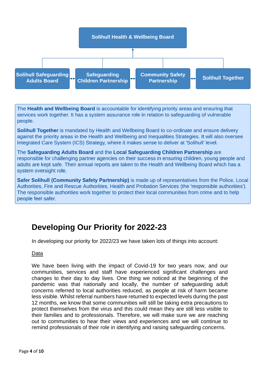

The Health and Wellbeing Board is accountable for identifying priority areas and ensuring that services work together. It has a system assurance role in relation to safeguarding of vulnerable people.

**Solihull Together** is mandated by Health and Wellbeing Board to co-ordinate and ensure delivery against the priority areas in the Health and Wellbeing and Inequalities Strategies. It will also oversee Integrated Care System (ICS) Strategy, where it makes sense to deliver at 'Solihull' level.

The Safeguarding Adults Board and the Local Safeguarding Children Partnership are responsible for challenging partner agencies on their success in ensuring children, young people and adults are kept safe. Their annual reports are taken to the Health and Wellbeing Board which has a system oversight role.

Safer Solihull (Community Safety Partnership) is made up of representatives from the Police, Local Authorities, Fire and Rescue Authorities, Health and Probation Services (the 'responsible authorities'). The responsible authorities work together to protect their local communities from crime and to help people feel safer.

### <span id="page-4-0"></span>**Developing Our Priority for 2022-23**

In developing our priority for 2022/23 we have taken lots of things into account:

#### Data

We have been living with the impact of Covid-19 for two years now, and our communities, services and staff have experienced significant challenges and changes to their day to day lives. One thing we noticed at the beginning of the pandemic was that nationally and locally, the number of safeguarding adult concerns referred to local authorities reduced, as people at risk of harm became less visible. Whilst referral numbers have returned to expected levels during the past 12 months, we know that some communities will still be taking extra precautions to protect themselves from the virus and this could mean they are still less visible to their families and to professionals. Therefore, we will make sure we are reaching out to communities to hear their views and experiences and we will continue to remind professionals of their role in identifying and raising safeguarding concerns.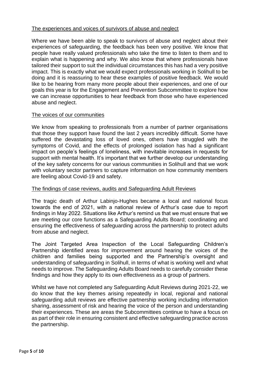#### The experiences and voices of survivors of abuse and neglect

Where we have been able to speak to survivors of abuse and neglect about their experiences of safeguarding, the feedback has been very positive. We know that people have really valued professionals who take the time to listen to them and to explain what is happening and why. We also know that where professionals have tailored their support to suit the individual circumstances this has had a very positive impact. This is exactly what we would expect professionals working in Solihull to be doing and it is reassuring to hear these examples of positive feedback. We would like to be hearing from many more people about their experiences, and one of our goals this year is for the Engagement and Prevention Subcommittee to explore how we can increase opportunities to hear feedback from those who have experienced abuse and neglect.

#### The voices of our communities

We know from speaking to professionals from a number of partner organisations that those they support have found the last 2 years incredibly difficult. Some have suffered the devastating loss of loved ones, others have struggled with the symptoms of Covid, and the effects of prolonged isolation has had a significant impact on people's feelings of loneliness, with inevitable increases in requests for support with mental health. It's important that we further develop our understanding of the key safety concerns for our various communities in Solihull and that we work with voluntary sector partners to capture information on how community members are feeling about Covid-19 and safety.

#### The findings of case reviews, audits and Safeguarding Adult Reviews

The tragic death of Arthur Labinjo-Hughes became a local and national focus towards the end of 2021, with a national review of Arthur's case due to report findings in May 2022. Situations like Arthur's remind us that we must ensure that we are meeting our core functions as a Safeguarding Adults Board; coordinating and ensuring the effectiveness of safeguarding across the partnership to protect adults from abuse and neglect.

The Joint Targeted Area Inspection of the Local Safeguarding Children's Partnership identified areas for improvement around hearing the voices of the children and families being supported and the Partnership's oversight and understanding of safeguarding in Solihull, in terms of what is working well and what needs to improve. The Safeguarding Adults Board needs to carefully consider these findings and how they apply to its own effectiveness as a group of partners.

Whilst we have not completed any Safeguarding Adult Reviews during 2021-22, we do know that the key themes arising repeatedly in local, regional and national safeguarding adult reviews are effective partnership working including information sharing, assessment of risk and hearing the voice of the person and understanding their experiences. These are areas the Subcommittees continue to have a focus on as part of their role in ensuring consistent and effective safeguarding practice across the partnership.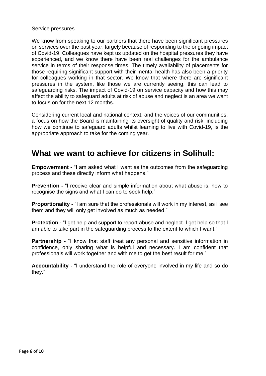#### Service pressures

We know from speaking to our partners that there have been significant pressures on services over the past year, largely because of responding to the ongoing impact of Covid-19. Colleagues have kept us updated on the hospital pressures they have experienced, and we know there have been real challenges for the ambulance service in terms of their response times. The timely availability of placements for those requiring significant support with their mental health has also been a priority for colleagues working in that sector. We know that where there are significant pressures in the system, like those we are currently seeing, this can lead to safeguarding risks. The impact of Covid-19 on service capacity and how this may affect the ability to safeguard adults at risk of abuse and neglect is an area we want to focus on for the next 12 months.

Considering current local and national context, and the voices of our communities, a focus on how the Board is maintaining its oversight of quality and risk, including how we continue to safeguard adults whilst learning to live with Covid-19, is the appropriate approach to take for the coming year.

### **What we want to achieve for citizens in Solihull:**

**Empowerment -** "I am asked what I want as the outcomes from the safeguarding process and these directly inform what happens."

**Prevention -** "I receive clear and simple information about what abuse is, how to recognise the signs and what I can do to seek help."

**Proportionality -** "I am sure that the professionals will work in my interest, as I see them and they will only get involved as much as needed."

**Protection -** "I get help and support to report abuse and neglect. I get help so that I am able to take part in the safeguarding process to the extent to which I want."

**Partnership -** "I know that staff treat any personal and sensitive information in confidence, only sharing what is helpful and necessary. I am confident that professionals will work together and with me to get the best result for me."

**Accountability -** "I understand the role of everyone involved in my life and so do they."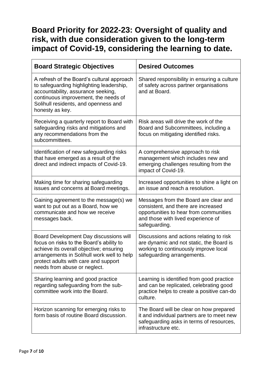### <span id="page-7-0"></span>**Board Priority for 2022-23: Oversight of quality and risk, with due consideration given to the long-term impact of Covid-19, considering the learning to date.**

| <b>Board Strategic Objectives</b>                                                                                                                                                                                                                   | <b>Desired Outcomes</b>                                                                                                                                                       |
|-----------------------------------------------------------------------------------------------------------------------------------------------------------------------------------------------------------------------------------------------------|-------------------------------------------------------------------------------------------------------------------------------------------------------------------------------|
| A refresh of the Board's cultural approach<br>to safeguarding highlighting leadership,<br>accountability, assurance seeking,<br>continuous improvement, the needs of<br>Solihull residents, and openness and<br>honesty as key.                     | Shared responsibility in ensuring a culture<br>of safety across partner organisations<br>and at Board.                                                                        |
| Receiving a quarterly report to Board with<br>safeguarding risks and mitigations and<br>any recommendations from the<br>subcommittees.                                                                                                              | Risk areas will drive the work of the<br>Board and Subcommittees, including a<br>focus on mitigating identified risks.                                                        |
| Identification of new safeguarding risks<br>that have emerged as a result of the<br>direct and indirect impacts of Covid-19.                                                                                                                        | A comprehensive approach to risk<br>management which includes new and<br>emerging challenges resulting from the<br>impact of Covid-19.                                        |
| Making time for sharing safeguarding<br>issues and concerns at Board meetings.                                                                                                                                                                      | Increased opportunities to shine a light on<br>an issue and reach a resolution.                                                                                               |
| Gaining agreement to the message(s) we<br>want to put out as a Board, how we<br>communicate and how we receive<br>messages back.                                                                                                                    | Messages from the Board are clear and<br>consistent, and there are increased<br>opportunities to hear from communities<br>and those with lived experience of<br>safeguarding. |
| Board Development Day discussions will<br>focus on risks to the Board's ability to<br>achieve its overall objective; ensuring<br>arrangements in Solihull work well to help<br>protect adults with care and support<br>needs from abuse or neglect. | Discussions and actions relating to risk<br>are dynamic and not static, the Board is<br>working to continuously improve local<br>safeguarding arrangements.                   |
| Sharing learning and good practice<br>regarding safeguarding from the sub-<br>committee work into the Board.                                                                                                                                        | Learning is identified from good practice<br>and can be replicated, celebrating good<br>practice helps to create a positive can-do<br>culture.                                |
| Horizon scanning for emerging risks to<br>form basis of routine Board discussion.                                                                                                                                                                   | The Board will be clear on how prepared<br>it and individual partners are to meet new<br>safeguarding asks in terms of resources,<br>infrastructure etc.                      |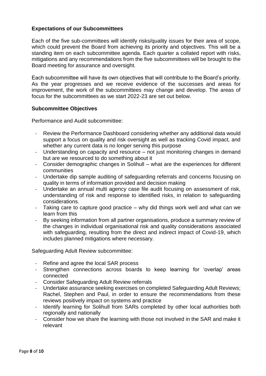#### **Expectations of our Subcommittees**

Each of the five sub-committees will identify risks/quality issues for their area of scope, which could prevent the Board from achieving its priority and objectives. This will be a standing item on each subcommittee agenda. Each quarter a collated report with risks, mitigations and any recommendations from the five subcommittees will be brought to the Board meeting for assurance and oversight.

Each subcommittee will have its own objectives that will contribute to the Board's priority. As the year progresses and we receive evidence of the successes and areas for improvement, the work of the subcommittees may change and develop. The areas of focus for the subcommittees as we start 2022-23 are set out below.

#### **Subcommittee Objectives**

Performance and Audit subcommittee:

- Review the Performance Dashboard considering whether any additional data would support a focus on quality and risk oversight as well as tracking Covid impact, and whether any current data is no longer serving this purpose
- Understanding on capacity and resource not just monitoring changes in demand but are we resourced to do something about it
- Consider demographic changes in Solihull what are the experiences for different communities
- Undertake dip sample auditing of safeguarding referrals and concerns focusing on quality in terms of information provided and decision making
- Undertake an annual multi agency case file audit focusing on assessment of risk, understanding of risk and response to identified risks, in relation to safeguarding considerations.
- Taking care to capture good practice why did things work well and what can we learn from this
- By seeking information from all partner organisations, produce a summary review of the changes in individual organisational risk and quality considerations associated with safeguarding, resulting from the direct and indirect impact of Covid-19, which includes planned mitigations where necessary.

Safeguarding Adult Review subcommittee:

- Refine and agree the local SAR process
- Strengthen connections across boards to keep learning for 'overlap' areas connected
- Consider Safeguarding Adult Review referrals
- Undertake assurance seeking exercises on completed Safeguarding Adult Reviews; Rachel, Stephen and Paul, in order to ensure the recommendations from these reviews positively impact on systems and practice
- Identify learning for Solihull from SARs completed by other local authorities both regionally and nationally
- Consider how we share the learning with those not involved in the SAR and make it relevant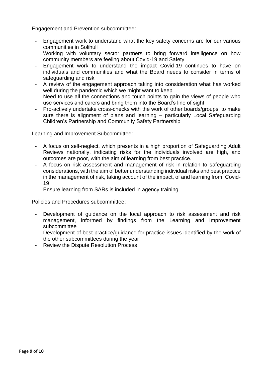Engagement and Prevention subcommittee:

- Engagement work to understand what the key safety concerns are for our various communities in Solihull
- Working with voluntary sector partners to bring forward intelligence on how community members are feeling about Covid-19 and Safety
- Engagement work to understand the impact Covid-19 continues to have on individuals and communities and what the Board needs to consider in terms of safeguarding and risk
- A review of the engagement approach taking into consideration what has worked well during the pandemic which we might want to keep
- Need to use all the connections and touch points to gain the views of people who use services and carers and bring them into the Board's line of sight
- Pro-actively undertake cross-checks with the work of other boards/groups, to make sure there is alignment of plans and learning – particularly Local Safeguarding Children's Partnership and Community Safety Partnership

Learning and Improvement Subcommittee:

- A focus on self-neglect, which presents in a high proportion of Safeguarding Adult Reviews nationally, indicating risks for the individuals involved are high, and outcomes are poor, with the aim of learning from best practice.
- A focus on risk assessment and management of risk in relation to safeguarding considerations, with the aim of better understanding individual risks and best practice in the management of risk, taking account of the impact, of and learning from, Covid-19
- Ensure learning from SARs is included in agency training

Policies and Procedures subcommittee:

- Development of quidance on the local approach to risk assessment and risk management, informed by findings from the Learning and Improvement subcommittee
- Development of best practice/guidance for practice issues identified by the work of the other subcommittees during the year
- Review the Dispute Resolution Process